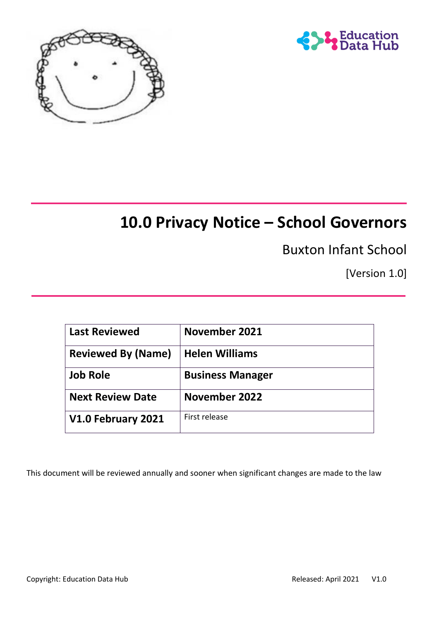



# **10.0 Privacy Notice – School Governors**

Buxton Infant School

[Version 1.0]

| <b>Last Reviewed</b>      | November 2021           |  |
|---------------------------|-------------------------|--|
| <b>Reviewed By (Name)</b> | <b>Helen Williams</b>   |  |
| <b>Job Role</b>           | <b>Business Manager</b> |  |
| <b>Next Review Date</b>   | <b>November 2022</b>    |  |
| V1.0 February 2021        | First release           |  |

This document will be reviewed annually and sooner when significant changes are made to the law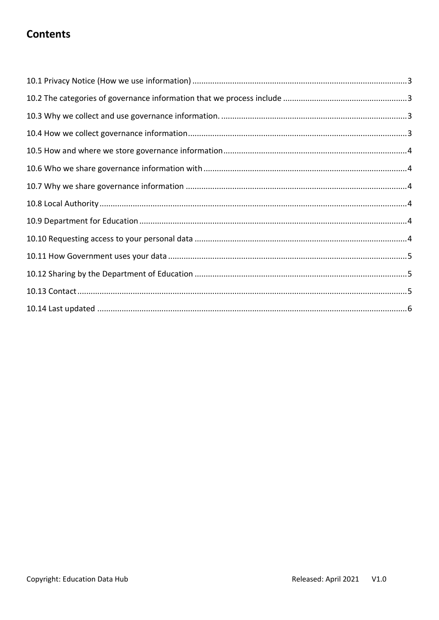#### **Contents**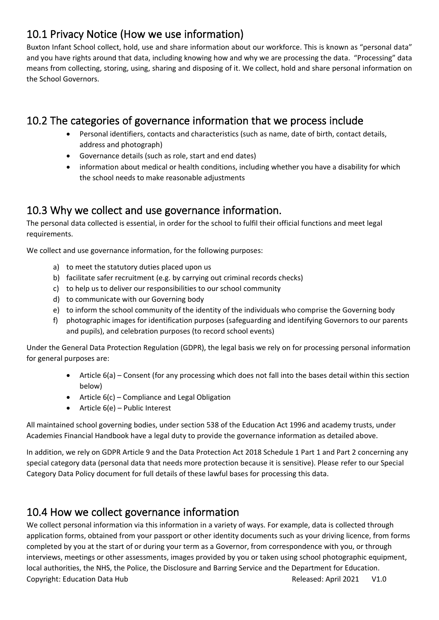# <span id="page-2-0"></span>10.1 Privacy Notice (How we use information)

Buxton Infant School collect, hold, use and share information about our workforce. This is known as "personal data" and you have rights around that data, including knowing how and why we are processing the data. "Processing" data means from collecting, storing, using, sharing and disposing of it. We collect, hold and share personal information on the School Governors.

# <span id="page-2-1"></span>10.2 The categories of governance information that we process include

- Personal identifiers, contacts and characteristics (such as name, date of birth, contact details, address and photograph)
- Governance details (such as role, start and end dates)
- information about medical or health conditions, including whether you have a disability for which the school needs to make reasonable adjustments

### <span id="page-2-2"></span>10.3 Why we collect and use governance information.

The personal data collected is essential, in order for the school to fulfil their official functions and meet legal requirements.

We collect and use governance information, for the following purposes:

- a) to meet the statutory duties placed upon us
- b) facilitate safer recruitment (e.g. by carrying out criminal records checks)
- c) to help us to deliver our responsibilities to our school community
- d) to communicate with our Governing body
- e) to inform the school community of the identity of the individuals who comprise the Governing body
- f) photographic images for identification purposes (safeguarding and identifying Governors to our parents and pupils), and celebration purposes (to record school events)

Under the General Data Protection Regulation (GDPR), the legal basis we rely on for processing personal information for general purposes are:

- Article 6(a) Consent (for any processing which does not fall into the bases detail within this section below)
- Article 6(c) Compliance and Legal Obligation
- Article 6(e) Public Interest

All maintained school governing bodies, under section 538 of the Education Act 1996 and academy trusts, under Academies Financial Handbook have a legal duty to provide the governance information as detailed above.

In addition, we rely on GDPR Article 9 and the Data Protection Act 2018 Schedule 1 Part 1 and Part 2 concerning any special category data (personal data that needs more protection because it is sensitive). Please refer to our Special Category Data Policy document for full details of these lawful bases for processing this data.

#### <span id="page-2-3"></span>10.4 How we collect governance information

Copyright: Education Data Hub Released: April 2021 V1.0 We collect personal information via this information in a variety of ways. For example, data is collected through application forms, obtained from your passport or other identity documents such as your driving licence, from forms completed by you at the start of or during your term as a Governor, from correspondence with you, or through interviews, meetings or other assessments, images provided by you or taken using school photographic equipment, local authorities, the NHS, the Police, the Disclosure and Barring Service and the Department for Education.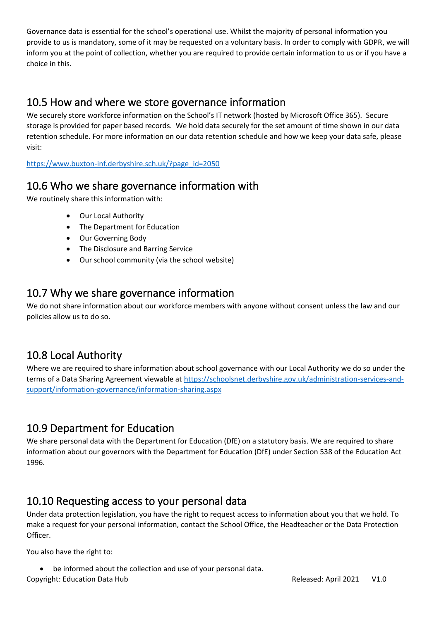Governance data is essential for the school's operational use. Whilst the majority of personal information you provide to us is mandatory, some of it may be requested on a voluntary basis. In order to comply with GDPR, we will inform you at the point of collection, whether you are required to provide certain information to us or if you have a choice in this.

### <span id="page-3-0"></span>10.5 How and where we store governance information

We securely store workforce information on the School's IT network (hosted by Microsoft Office 365). Secure storage is provided for paper based records. We hold data securely for the set amount of time shown in our data retention schedule. For more information on our data retention schedule and how we keep your data safe, please visit:

[https://www.buxton-inf.derbyshire.sch.uk/?page\\_id=2050](https://www.buxton-inf.derbyshire.sch.uk/?page_id=2050)

### <span id="page-3-1"></span>10.6 Who we share governance information with

We routinely share this information with:

- Our Local Authority
- The Department for Education
- Our Governing Body
- The Disclosure and Barring Service
- Our school community (via the school website)

# <span id="page-3-2"></span>10.7 Why we share governance information

We do not share information about our workforce members with anyone without consent unless the law and our policies allow us to do so.

# <span id="page-3-3"></span>10.8 Local Authority

Where we are required to share information about school governance with our Local Authority we do so under the terms of a Data Sharing Agreement viewable at [https://schoolsnet.derbyshire.gov.uk/administration-services-and](https://schoolsnet.derbyshire.gov.uk/administration-services-and-support/information-governance/information-sharing.aspx)[support/information-governance/information-sharing.aspx](https://schoolsnet.derbyshire.gov.uk/administration-services-and-support/information-governance/information-sharing.aspx)

## <span id="page-3-4"></span>10.9 Department for Education

We share personal data with the Department for Education (DfE) on a statutory basis. We are required to share information about our governors with the Department for Education (DfE) under Section 538 of the Education Act 1996.

# <span id="page-3-5"></span>10.10 Requesting access to your personal data

Under data protection legislation, you have the right to request access to information about you that we hold. To make a request for your personal information, contact the School Office, the Headteacher or the Data Protection Officer.

You also have the right to:

be informed about the collection and use of your personal data.

Copyright: Education Data Hub **Contract Contract Contract Contract Contract** Released: April 2021 V1.0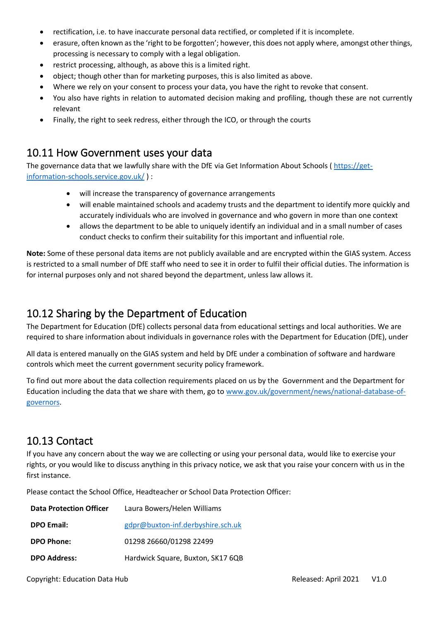- rectification, i.e. to have inaccurate personal data rectified, or completed if it is incomplete.
- erasure, often known as the 'right to be forgotten'; however, this does not apply where, amongst other things, processing is necessary to comply with a legal obligation.
- restrict processing, although, as above this is a limited right.
- object; though other than for marketing purposes, this is also limited as above.
- Where we rely on your consent to process your data, you have the right to revoke that consent.
- You also have rights in relation to automated decision making and profiling, though these are not currently relevant
- Finally, the right to seek redress, either through the ICO, or through the courts

#### <span id="page-4-0"></span>10.11 How Government uses your data

The governance data that we lawfully share with the DfE via Get Information About Schools ( [https://get](https://get-information-schools.service.gov.uk/)[information-schools.service.gov.uk/](https://get-information-schools.service.gov.uk/) ) :

- will increase the transparency of governance arrangements
- will enable maintained schools and academy trusts and the department to identify more quickly and accurately individuals who are involved in governance and who govern in more than one context
- allows the department to be able to uniquely identify an individual and in a small number of cases conduct checks to confirm their suitability for this important and influential role.

**Note:** Some of these personal data items are not publicly available and are encrypted within the GIAS system. Access is restricted to a small number of DfE staff who need to see it in order to fulfil their official duties. The information is for internal purposes only and not shared beyond the department, unless law allows it.

### <span id="page-4-1"></span>10.12 Sharing by the Department of Education

The Department for Education (DfE) collects personal data from educational settings and local authorities. We are required to share information about individuals in governance roles with the Department for Education (DfE), under

All data is entered manually on the GIAS system and held by DfE under a combination of software and hardware controls which meet the current government security policy framework.

To find out more about the data collection requirements placed on us by the Government and the Department for Education including the data that we share with them, go t[o www.gov.uk/government/news/national-database-of](http://www.gov.uk/government/news/national-database-of-governors)[governors.](http://www.gov.uk/government/news/national-database-of-governors)

#### <span id="page-4-2"></span>10.13 Contact

If you have any concern about the way we are collecting or using your personal data, would like to exercise your rights, or you would like to discuss anything in this privacy notice, we ask that you raise your concern with us in the first instance.

Please contact the School Office, Headteacher or School Data Protection Officer:

| <b>Data Protection Officer</b> | Laura Bowers/Helen Williams       |
|--------------------------------|-----------------------------------|
| <b>DPO Email:</b>              | gdpr@buxton-inf.derbyshire.sch.uk |
| <b>DPO Phone:</b>              | 01298 26660/01298 22499           |
| <b>DPO Address:</b>            | Hardwick Square, Buxton, SK17 6QB |

Copyright: Education Data Hub **Contract Contract Contract Contract Contract** Released: April 2021 V1.0